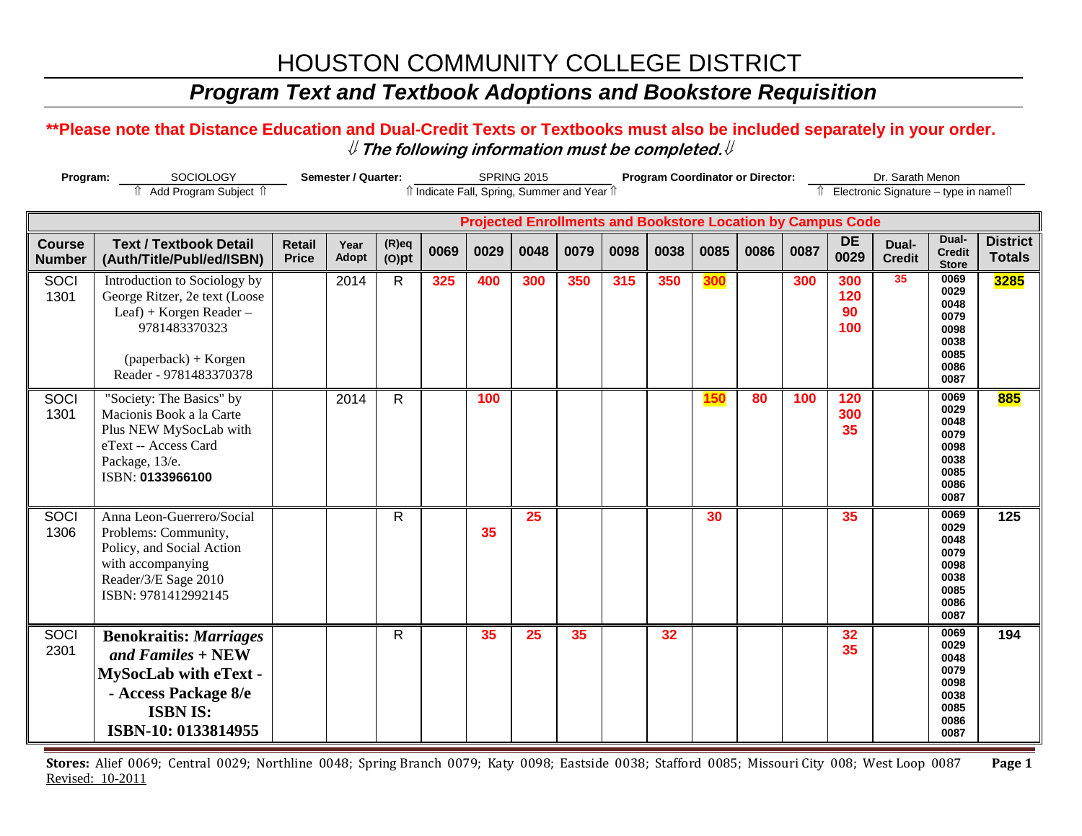# HOUSTON COMMUNITY COLLEGE DISTRICT

## *Program Text and Textbook Adoptions and Bookstore Requisition*

### **\*\*Please note that Distance Education and Dual-Credit Texts or Textbooks must also be included separately in your order.**  ⇓ **The following information must be completed.**⇓

| Program:                                                                                                            |                                                                                                                                                               | Semester / Quarter:           |               | <b>SPRING 2015</b>   |      |      |      |      |      | <b>Program Coordinator or Director:</b> |            | Dr. Sarath Menon |      |                         |                        |                                                                      |                                  |
|---------------------------------------------------------------------------------------------------------------------|---------------------------------------------------------------------------------------------------------------------------------------------------------------|-------------------------------|---------------|----------------------|------|------|------|------|------|-----------------------------------------|------------|------------------|------|-------------------------|------------------------|----------------------------------------------------------------------|----------------------------------|
| f Add Program Subject f<br>îl Indicate Fall, Spring, Summer and Year îl<br>Îl Electronic Signature - type in nameîl |                                                                                                                                                               |                               |               |                      |      |      |      |      |      |                                         |            |                  |      |                         |                        |                                                                      |                                  |
| <b>Projected Enrollments and Bookstore Location by Campus Code</b>                                                  |                                                                                                                                                               |                               |               |                      |      |      |      |      |      |                                         |            |                  |      |                         |                        |                                                                      |                                  |
| <b>Course</b><br><b>Number</b>                                                                                      | <b>Text / Textbook Detail</b><br>(Auth/Title/Publ/ed/ISBN)                                                                                                    | <b>Retail</b><br><b>Price</b> | Year<br>Adopt | $(R)$ eq<br>$(O)$ pt | 0069 | 0029 | 0048 | 0079 | 0098 | 0038                                    | 0085       | 0086             | 0087 | <b>DE</b><br>0029       | Dual-<br><b>Credit</b> | Dual-<br><b>Credit</b><br><b>Store</b>                               | <b>District</b><br><b>Totals</b> |
| SOCI<br>1301                                                                                                        | Introduction to Sociology by<br>George Ritzer, 2e text (Loose<br>Leaf) + Korgen Reader -<br>9781483370323<br>$(paperback) + Korgen$<br>Reader - 9781483370378 |                               | 2014          | R                    | 325  | 400  | 300  | 350  | 315  | 350                                     | 300        |                  | 300  | 300<br>120<br>90<br>100 | 35                     | 0069<br>0029<br>0048<br>0079<br>0098<br>0038<br>0085<br>0086<br>0087 | 3285                             |
| <b>SOCI</b><br>1301                                                                                                 | "Society: The Basics" by<br>Macionis Book a la Carte<br>Plus NEW MySocLab with<br>eText -- Access Card<br>Package, 13/e.<br>ISBN: 0133966100                  |                               | 2014          | $\mathsf{R}$         |      | 100  |      |      |      |                                         | <b>150</b> | 80               | 100  | 120<br>300<br>35        |                        | 0069<br>0029<br>0048<br>0079<br>0098<br>0038<br>0085<br>0086<br>0087 | 885                              |
| SOCI<br>1306                                                                                                        | Anna Leon-Guerrero/Social<br>Problems: Community,<br>Policy, and Social Action<br>with accompanying<br>Reader/3/E Sage 2010<br>ISBN: 9781412992145            |                               |               | $\mathsf{R}$         |      | 35   | 25   |      |      |                                         | 30         |                  |      | 35                      |                        | 0069<br>0029<br>0048<br>0079<br>0098<br>0038<br>0085<br>0086<br>0087 | 125                              |
| SOCI<br>2301                                                                                                        | <b>Benokraitis: Marriages</b><br>and Familes $+$ NEW<br><b>MySocLab with eText -</b><br>- Access Package 8/e<br><b>ISBN IS:</b><br>ISBN-10: 0133814955        |                               |               | $\mathsf{R}$         |      | 35   | 25   | 35   |      | 32                                      |            |                  |      | 32<br>35                |                        | 0069<br>0029<br>0048<br>0079<br>0098<br>0038<br>0085<br>0086<br>0087 | 194                              |

**Stores:** Alief 0069; Central 0029; Northline 0048; Spring Branch 0079; Katy 0098; Eastside 0038; Stafford 0085; Missouri City 008; West Loop 0087 **Page 1** Revised: 10-2011